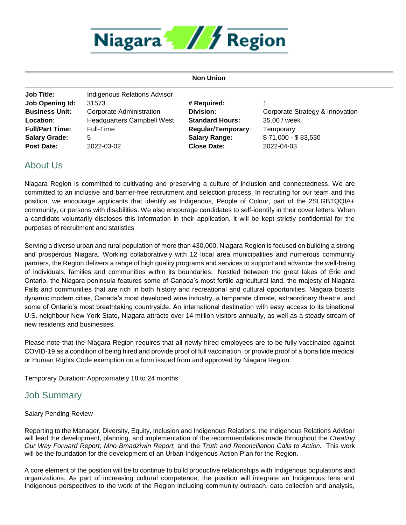

#### **Non Union**

**Job Title:** Indigenous Relations Advisor **Job Opening Id:** 31573 **# Required:** 1 **Location**: Headquarters Campbell West **Standard Hours:** 35.00 / week **Full/Part Time:** Full-Time **Regular/Temporary**: Temporary **Salary Grade:** 5 **Salary Range:** \$ 71,000 - \$ 83,530 **Post Date:** 2022-03-02 **Close Date:** 2022-04-03

**Business Unit:** Corporate Administration **Division:** Corporate Strategy & Innovation

## About Us

Niagara Region is committed to cultivating and preserving a culture of inclusion and connectedness. We are committed to an inclusive and barrier-free recruitment and selection process. In recruiting for our team and this position, we encourage applicants that identify as Indigenous, People of Colour, part of the 2SLGBTQQIA+ community, or persons with disabilities. We also encourage candidates to self-identify in their cover letters. When a candidate voluntarily discloses this information in their application, it will be kept strictly confidential for the purposes of recruitment and statistics

Serving a diverse urban and rural population of more than 430,000, Niagara Region is focused on building a strong and prosperous Niagara. Working collaboratively with 12 local area municipalities and numerous community partners, the Region delivers a range of high quality programs and services to support and advance the well-being of individuals, families and communities within its boundaries. Nestled between the great lakes of Erie and Ontario, the Niagara peninsula features some of Canada's most fertile agricultural land, the majesty of Niagara Falls and communities that are rich in both history and recreational and cultural opportunities. Niagara boasts dynamic modern cities, Canada's most developed wine industry, a temperate climate, extraordinary theatre, and some of Ontario's most breathtaking countryside. An international destination with easy access to its binational U.S. neighbour New York State, Niagara attracts over 14 million visitors annually, as well as a steady stream of new residents and businesses.

Please note that the Niagara Region requires that all newly hired employees are to be fully vaccinated against COVID-19 as a condition of being hired and provide proof of full vaccination, or provide proof of a bona fide medical or Human Rights Code exemption on a form issued from and approved by Niagara Region.

Temporary Duration: Approximately 18 to 24 months

## Job Summary

### Salary Pending Review

Reporting to the Manager, Diversity, Equity, Inclusion and Indigenous Relations, the Indigenous Relations Advisor will lead the development, planning, and implementation of the recommendations made throughout the *Creating Our Way Forward Report, Mno Bmadziwin Report,* and the *Truth and Reconciliation Calls to Action.* This work will be the foundation for the development of an Urban Indigenous Action Plan for the Region.

A core element of the position will be to continue to build productive relationships with Indigenous populations and organizations. As part of increasing cultural competence, the position will integrate an Indigenous lens and Indigenous perspectives to the work of the Region including community outreach, data collection and analysis,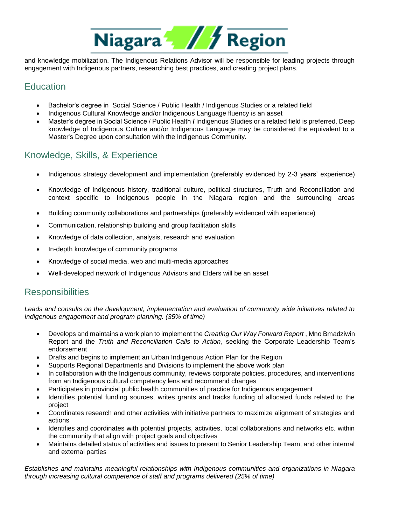

and knowledge mobilization. The Indigenous Relations Advisor will be responsible for leading projects through engagement with Indigenous partners, researching best practices, and creating project plans.

# **Education**

- Bachelor's degree in Social Science / Public Health / Indigenous Studies or a related field
- Indigenous Cultural Knowledge and/or Indigenous Language fluency is an asset
- Master's degree in Social Science / Public Health **/** Indigenous Studies or a related field is preferred. Deep knowledge of Indigenous Culture and/or Indigenous Language may be considered the equivalent to a Master's Degree upon consultation with the Indigenous Community.

# Knowledge, Skills, & Experience

- Indigenous strategy development and implementation (preferably evidenced by 2-3 years' experience)
- Knowledge of Indigenous history, traditional culture, political structures, Truth and Reconciliation and context specific to Indigenous people in the Niagara region and the surrounding areas
- Building community collaborations and partnerships (preferably evidenced with experience)
- Communication, relationship building and group facilitation skills
- Knowledge of data collection, analysis, research and evaluation
- In-depth knowledge of community programs
- Knowledge of social media, web and multi-media approaches
- Well-developed network of Indigenous Advisors and Elders will be an asset

## **Responsibilities**

*Leads and consults on the development, implementation and evaluation of community wide initiatives related to Indigenous engagement and program planning. (35% of time)*

- Develops and maintains a work plan to implement the *Creating Our Way Forward Report* , Mno Bmadziwin Report and the *Truth and Reconciliation Calls to Action*, seeking the Corporate Leadership Team's endorsement
- Drafts and begins to implement an Urban Indigenous Action Plan for the Region
- Supports Regional Departments and Divisions to implement the above work plan
- In collaboration with the Indigenous community, reviews corporate policies, procedures, and interventions from an Indigenous cultural competency lens and recommend changes
- Participates in provincial public health communities of practice for Indigenous engagement
- Identifies potential funding sources, writes grants and tracks funding of allocated funds related to the project
- Coordinates research and other activities with initiative partners to maximize alignment of strategies and actions
- Identifies and coordinates with potential projects, activities, local collaborations and networks etc. within the community that align with project goals and objectives
- Maintains detailed status of activities and issues to present to Senior Leadership Team, and other internal and external parties

*Establishes and maintains meaningful relationships with Indigenous communities and organizations in Niagara through increasing cultural competence of staff and programs delivered (25% of time)*